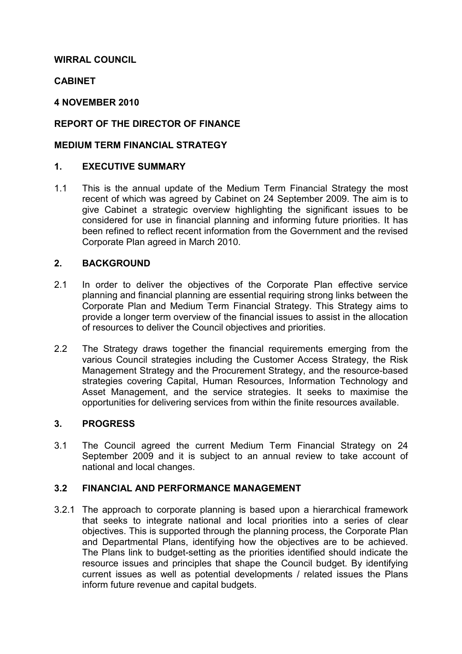## WIRRAL COUNCIL

## **CABINET**

### 4 NOVEMBER 2010

### REPORT OF THE DIRECTOR OF FINANCE

### MEDIUM TERM FINANCIAL STRATEGY

### 1. EXECUTIVE SUMMARY

1.1 This is the annual update of the Medium Term Financial Strategy the most recent of which was agreed by Cabinet on 24 September 2009. The aim is to give Cabinet a strategic overview highlighting the significant issues to be considered for use in financial planning and informing future priorities. It has been refined to reflect recent information from the Government and the revised Corporate Plan agreed in March 2010.

## 2. BACKGROUND

- 2.1 In order to deliver the objectives of the Corporate Plan effective service planning and financial planning are essential requiring strong links between the Corporate Plan and Medium Term Financial Strategy. This Strategy aims to provide a longer term overview of the financial issues to assist in the allocation of resources to deliver the Council objectives and priorities.
- 2.2 The Strategy draws together the financial requirements emerging from the various Council strategies including the Customer Access Strategy, the Risk Management Strategy and the Procurement Strategy, and the resource-based strategies covering Capital, Human Resources, Information Technology and Asset Management, and the service strategies. It seeks to maximise the opportunities for delivering services from within the finite resources available.

### 3. PROGRESS

3.1 The Council agreed the current Medium Term Financial Strategy on 24 September 2009 and it is subject to an annual review to take account of national and local changes.

### 3.2 FINANCIAL AND PERFORMANCE MANAGEMENT

3.2.1 The approach to corporate planning is based upon a hierarchical framework that seeks to integrate national and local priorities into a series of clear objectives. This is supported through the planning process, the Corporate Plan and Departmental Plans, identifying how the objectives are to be achieved. The Plans link to budget-setting as the priorities identified should indicate the resource issues and principles that shape the Council budget. By identifying current issues as well as potential developments / related issues the Plans inform future revenue and capital budgets.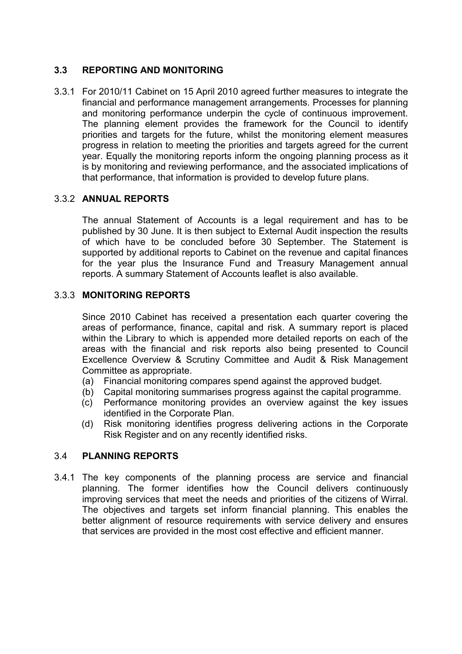## 3.3 REPORTING AND MONITORING

3.3.1 For 2010/11 Cabinet on 15 April 2010 agreed further measures to integrate the financial and performance management arrangements. Processes for planning and monitoring performance underpin the cycle of continuous improvement. The planning element provides the framework for the Council to identify priorities and targets for the future, whilst the monitoring element measures progress in relation to meeting the priorities and targets agreed for the current year. Equally the monitoring reports inform the ongoing planning process as it is by monitoring and reviewing performance, and the associated implications of that performance, that information is provided to develop future plans.

# 3.3.2 ANNUAL REPORTS

 The annual Statement of Accounts is a legal requirement and has to be published by 30 June. It is then subject to External Audit inspection the results of which have to be concluded before 30 September. The Statement is supported by additional reports to Cabinet on the revenue and capital finances for the year plus the Insurance Fund and Treasury Management annual reports. A summary Statement of Accounts leaflet is also available.

# 3.3.3 MONITORING REPORTS

 Since 2010 Cabinet has received a presentation each quarter covering the areas of performance, finance, capital and risk. A summary report is placed within the Library to which is appended more detailed reports on each of the areas with the financial and risk reports also being presented to Council Excellence Overview & Scrutiny Committee and Audit & Risk Management Committee as appropriate.

- (a) Financial monitoring compares spend against the approved budget.
- (b) Capital monitoring summarises progress against the capital programme.
- (c) Performance monitoring provides an overview against the key issues identified in the Corporate Plan.
- (d) Risk monitoring identifies progress delivering actions in the Corporate Risk Register and on any recently identified risks.

## 3.4 PLANNING REPORTS

3.4.1 The key components of the planning process are service and financial planning. The former identifies how the Council delivers continuously improving services that meet the needs and priorities of the citizens of Wirral. The objectives and targets set inform financial planning. This enables the better alignment of resource requirements with service delivery and ensures that services are provided in the most cost effective and efficient manner.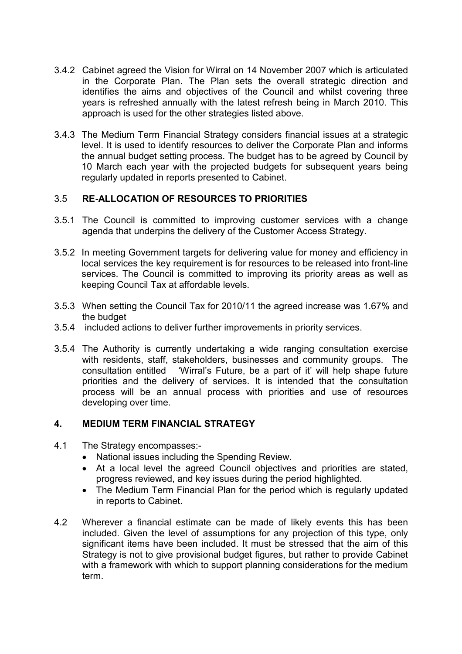- 3.4.2 Cabinet agreed the Vision for Wirral on 14 November 2007 which is articulated in the Corporate Plan. The Plan sets the overall strategic direction and identifies the aims and objectives of the Council and whilst covering three years is refreshed annually with the latest refresh being in March 2010. This approach is used for the other strategies listed above.
- 3.4.3 The Medium Term Financial Strategy considers financial issues at a strategic level. It is used to identify resources to deliver the Corporate Plan and informs the annual budget setting process. The budget has to be agreed by Council by 10 March each year with the projected budgets for subsequent years being regularly updated in reports presented to Cabinet.

## 3.5 RE-ALLOCATION OF RESOURCES TO PRIORITIES

- 3.5.1 The Council is committed to improving customer services with a change agenda that underpins the delivery of the Customer Access Strategy.
- 3.5.2 In meeting Government targets for delivering value for money and efficiency in local services the key requirement is for resources to be released into front-line services. The Council is committed to improving its priority areas as well as keeping Council Tax at affordable levels.
- 3.5.3 When setting the Council Tax for 2010/11 the agreed increase was 1.67% and the budget
- 3.5.4 included actions to deliver further improvements in priority services.
- 3.5.4 The Authority is currently undertaking a wide ranging consultation exercise with residents, staff, stakeholders, businesses and community groups. The consultation entitled 'Wirral's Future, be a part of it' will help shape future priorities and the delivery of services. It is intended that the consultation process will be an annual process with priorities and use of resources developing over time.

### 4. MEDIUM TERM FINANCIAL STRATEGY

- 4.1 The Strategy encompasses:-
	- National issues including the Spending Review.
	- At a local level the agreed Council objectives and priorities are stated, progress reviewed, and key issues during the period highlighted.
	- The Medium Term Financial Plan for the period which is regularly updated in reports to Cabinet.
- 4.2 Wherever a financial estimate can be made of likely events this has been included. Given the level of assumptions for any projection of this type, only significant items have been included. It must be stressed that the aim of this Strategy is not to give provisional budget figures, but rather to provide Cabinet with a framework with which to support planning considerations for the medium term.